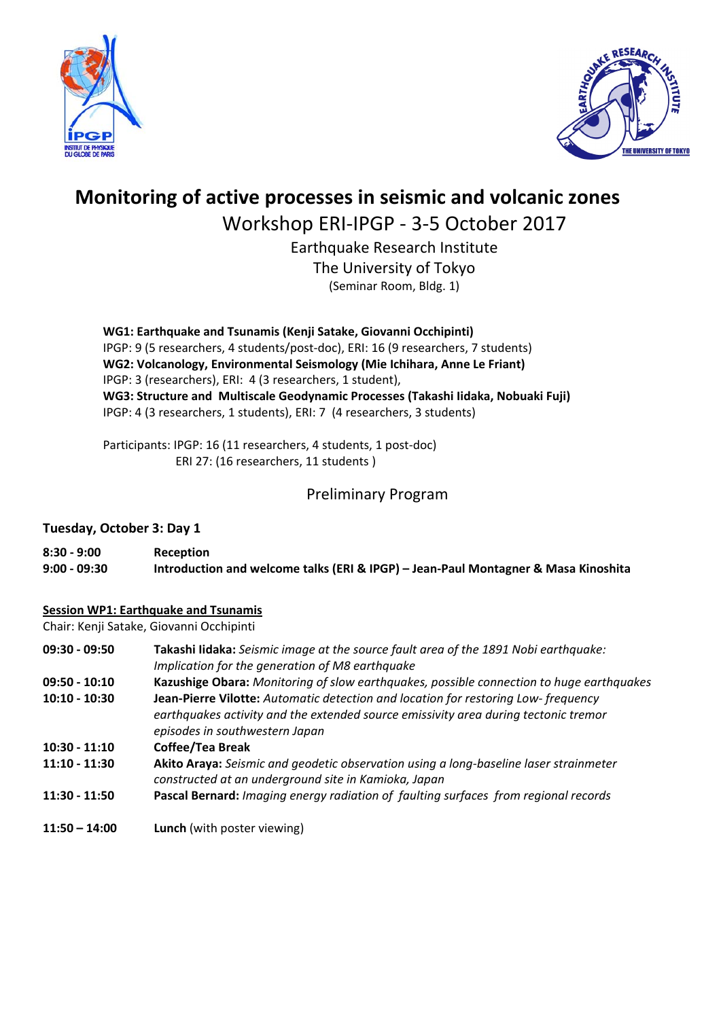



# **Monitoring of active processes in seismic and volcanic zones**

Workshop ERI‐IPGP ‐ 3‐5 October 2017

Earthquake Research Institute The University of Tokyo (Seminar Room, Bldg. 1)

**WG1: Earthquake and Tsunamis (Kenji Satake, Giovanni Occhipinti)**  IPGP: 9 (5 researchers, 4 students/post‐doc), ERI: 16 (9 researchers, 7 students) **WG2: Volcanology, Environmental Seismology (Mie Ichihara, Anne Le Friant)**  IPGP: 3 (researchers), ERI: 4 (3 researchers, 1 student), **WG3: Structure and Multiscale Geodynamic Processes (Takashi Iidaka, Nobuaki Fuji)**  IPGP: 4 (3 researchers, 1 students), ERI: 7 (4 researchers, 3 students)

Participants: IPGP: 16 (11 researchers, 4 students, 1 post‐doc) ERI 27: (16 researchers, 11 students )

# Preliminary Program

## **Tuesday, October 3: Day 1**

| $8:30 - 9:00$ | Reception                                                                          |
|---------------|------------------------------------------------------------------------------------|
| 9:00 - 09:30  | Introduction and welcome talks (ERI & IPGP) - Jean-Paul Montagner & Masa Kinoshita |

## **Session WP1: Earthquake and Tsunamis**

Chair: Kenji Satake, Giovanni Occhipinti

| $09:30 - 09:50$ | Takashi lidaka: Seismic image at the source fault area of the 1891 Nobi earthquake:<br>Implication for the generation of M8 earthquake                                                                     |
|-----------------|------------------------------------------------------------------------------------------------------------------------------------------------------------------------------------------------------------|
| $09:50 - 10:10$ | Kazushige Obara: Monitoring of slow earthquakes, possible connection to huge earthquakes                                                                                                                   |
| $10:10 - 10:30$ | Jean-Pierre Vilotte: Automatic detection and location for restoring Low-frequency<br>earthquakes activity and the extended source emissivity area during tectonic tremor<br>episodes in southwestern Japan |
| $10:30 - 11:10$ | Coffee/Tea Break                                                                                                                                                                                           |
| $11:10 - 11:30$ | Akito Araya: Seismic and geodetic observation using a long-baseline laser strainmeter<br>constructed at an underground site in Kamioka, Japan                                                              |
| $11:30 - 11:50$ | Pascal Bernard: Imaging energy radiation of faulting surfaces from regional records                                                                                                                        |
| $11:50 - 14:00$ | <b>Lunch</b> (with poster viewing)                                                                                                                                                                         |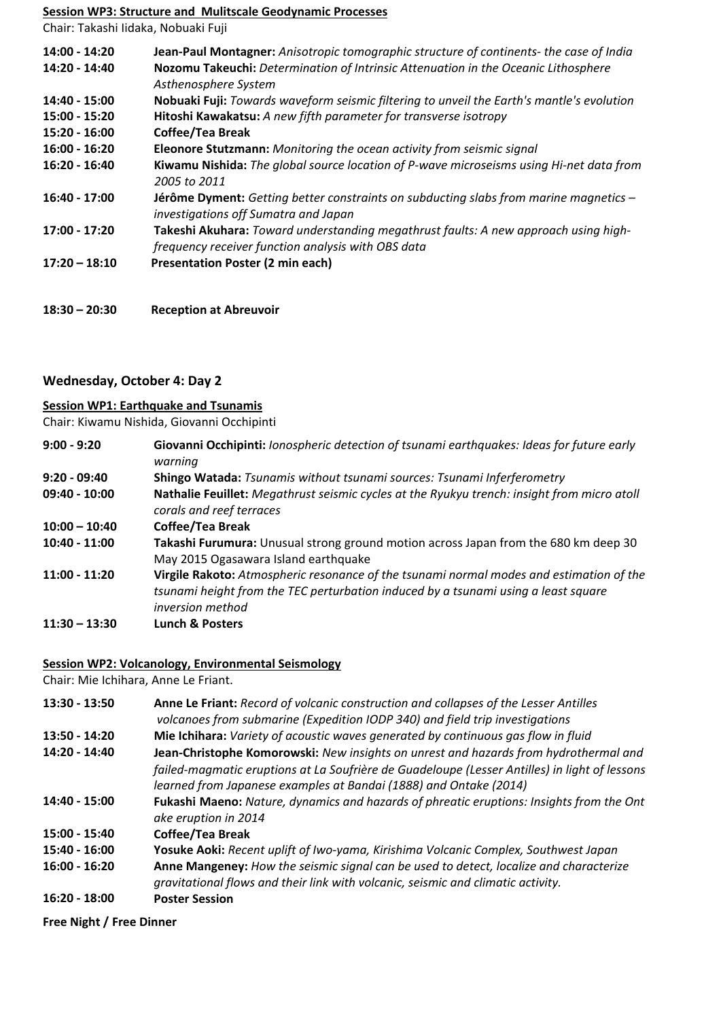#### **Session WP3: Structure and Mulitscale Geodynamic Processes**

Chair: Takashi Iidaka, Nobuaki Fuji

| 14:00 - 14:20   | Jean-Paul Montagner: Anisotropic tomographic structure of continents- the case of India                                                   |
|-----------------|-------------------------------------------------------------------------------------------------------------------------------------------|
| 14:20 - 14:40   | Nozomu Takeuchi: Determination of Intrinsic Attenuation in the Oceanic Lithosphere<br>Asthenosphere System                                |
| 14:40 - 15:00   | Nobuaki Fuji: Towards waveform seismic filtering to unveil the Earth's mantle's evolution                                                 |
| 15:00 - 15:20   | Hitoshi Kawakatsu: A new fifth parameter for transverse isotropy                                                                          |
| 15:20 - 16:00   | <b>Coffee/Tea Break</b>                                                                                                                   |
| $16:00 - 16:20$ | Eleonore Stutzmann: Monitoring the ocean activity from seismic signal                                                                     |
| $16:20 - 16:40$ | Kiwamu Nishida: The global source location of P-wave microseisms using Hi-net data from<br>2005 to 2011                                   |
| $16:40 - 17:00$ | <b>Jérôme Dyment:</b> Getting better constraints on subducting slabs from marine magnetics -<br>investigations off Sumatra and Japan      |
| 17:00 - 17:20   | Takeshi Akuhara: Toward understanding megathrust faults: A new approach using high-<br>frequency receiver function analysis with OBS data |
| $17:20 - 18:10$ | <b>Presentation Poster (2 min each)</b>                                                                                                   |
|                 |                                                                                                                                           |

**18:30 – 20:30 Reception at Abreuvoir** 

### **Wednesday, October 4: Day 2**

#### **Session WP1: Earthquake and Tsunamis**

Chair: Kiwamu Nishida, Giovanni Occhipinti

| $9:00 - 9:20$   | Giovanni Occhipinti: Ionospheric detection of tsunami earthquakes: Ideas for future early<br>warning                                                                                              |
|-----------------|---------------------------------------------------------------------------------------------------------------------------------------------------------------------------------------------------|
| $9:20 - 09:40$  | Shingo Watada: Tsunamis without tsunami sources: Tsunami Inferferometry                                                                                                                           |
| $09:40 - 10:00$ | Nathalie Feuillet: Megathrust seismic cycles at the Ryukyu trench: insight from micro atoll<br>corals and reef terraces                                                                           |
| $10:00 - 10:40$ | <b>Coffee/Tea Break</b>                                                                                                                                                                           |
| $10:40 - 11:00$ | Takashi Furumura: Unusual strong ground motion across Japan from the 680 km deep 30<br>May 2015 Ogasawara Island earthquake                                                                       |
| $11:00 - 11:20$ | Virgile Rakoto: Atmospheric resonance of the tsunami normal modes and estimation of the<br>tsunami height from the TEC perturbation induced by a tsunami using a least square<br>inversion method |
| $11:30 - 13:30$ | <b>Lunch &amp; Posters</b>                                                                                                                                                                        |

#### **Session WP2: Volcanology, Environmental Seismology**

Chair: Mie Ichihara, Anne Le Friant.

| 13:30 - 13:50   | Anne Le Friant: Record of volcanic construction and collapses of the Lesser Antilles<br>volcanoes from submarine (Expedition IODP 340) and field trip investigations                                                                                       |
|-----------------|------------------------------------------------------------------------------------------------------------------------------------------------------------------------------------------------------------------------------------------------------------|
| 13:50 - 14:20   | Mie Ichihara: Variety of acoustic waves generated by continuous gas flow in fluid                                                                                                                                                                          |
| 14:20 - 14:40   | Jean-Christophe Komorowski: New insights on unrest and hazards from hydrothermal and<br>failed-magmatic eruptions at La Soufrière de Guadeloupe (Lesser Antilles) in light of lessons<br>learned from Japanese examples at Bandai (1888) and Ontake (2014) |
| 14:40 - 15:00   | Fukashi Maeno: Nature, dynamics and hazards of phreatic eruptions: Insights from the Ont<br>ake eruption in 2014                                                                                                                                           |
| 15:00 - 15:40   | <b>Coffee/Tea Break</b>                                                                                                                                                                                                                                    |
| $15:40 - 16:00$ | Yosuke Aoki: Recent uplift of Iwo-yama, Kirishima Volcanic Complex, Southwest Japan                                                                                                                                                                        |
| $16:00 - 16:20$ | Anne Mangeney: How the seismic signal can be used to detect, localize and characterize<br>gravitational flows and their link with volcanic, seismic and climatic activity.                                                                                 |
| $16:20 - 18:00$ | <b>Poster Session</b>                                                                                                                                                                                                                                      |

**Free Night / Free Dinner**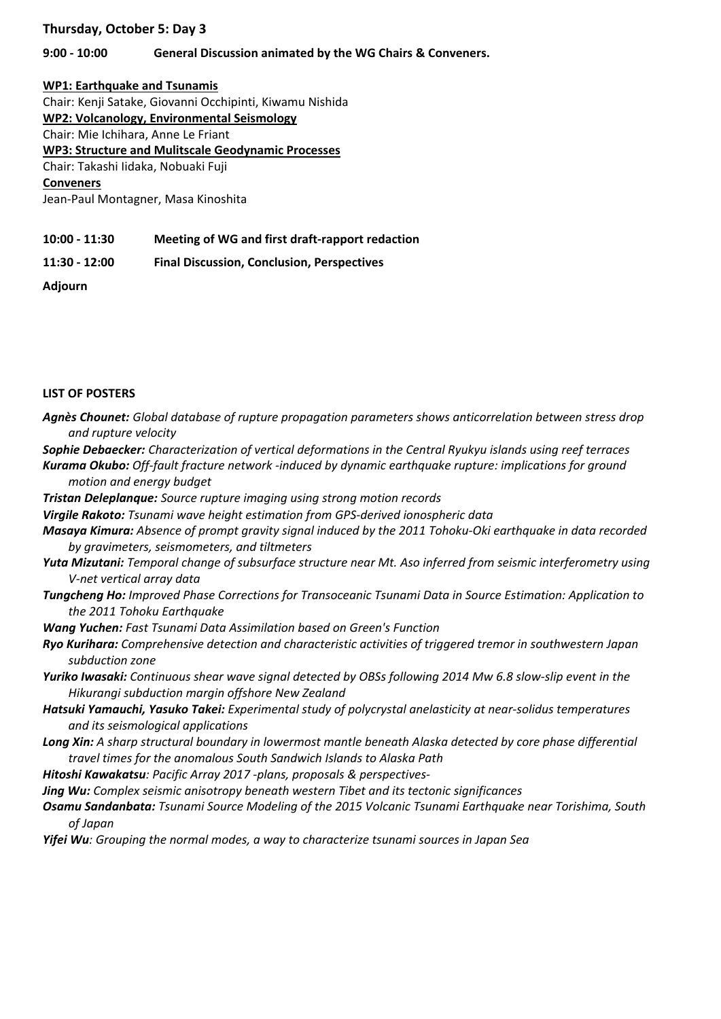#### **Thursday, October 5: Day 3**

#### **9:00 ‐ 10:00 General Discussion animated by the WG Chairs & Conveners.**

#### **WP1: Earthquake and Tsunamis**

Chair: Kenji Satake, Giovanni Occhipinti, Kiwamu Nishida

**WP2: Volcanology, Environmental Seismology** 

Chair: Mie Ichihara, Anne Le Friant

**WP3: Structure and Mulitscale Geodynamic Processes**

Chair: Takashi Iidaka, Nobuaki Fuji

#### **Conveners**

Jean‐Paul Montagner, Masa Kinoshita

**10:00 ‐ 11:30 Meeting of WG and first draft‐rapport redaction** 

**11:30 ‐ 12:00 Final Discussion, Conclusion, Perspectives** 

**Adjourn** 

#### **LIST OF POSTERS**

- *Agnès Chounet: Global database of rupture propagation parameters shows anticorrelation between stress drop and rupture velocity*
- *Sophie Debaecker: Characterization of vertical deformations in the Central Ryukyu islands using reef terraces*
- *Kurama Okubo: Off‐fault fracture network ‐induced by dynamic earthquake rupture: implications for ground motion and energy budget*
- *Tristan Deleplanque: Source rupture imaging using strong motion records*
- *Virgile Rakoto: Tsunami wave height estimation from GPS-derived ionospheric data*
- *Masaya Kimura: Absence of prompt gravity signal induced by the 2011 Tohoku‐Oki earthquake in data recorded by gravimeters, seismometers, and tiltmeters*
- *Yuta Mizutani: Temporal change of subsurface structure near Mt. Aso inferred from seismic interferometry using V‐net vertical array data*
- *Tungcheng Ho: Improved Phase Corrections for Transoceanic Tsunami Data in Source Estimation: Application to the 2011 Tohoku Earthquake*
- *Wang Yuchen: Fast Tsunami Data Assimilation based on Green's Function*
- *Ryo Kurihara: Comprehensive detection and characteristic activities of triggered tremor in southwestern Japan subduction zone*
- *Yuriko Iwasaki: Continuous shear wave signal detected by OBSs following 2014 Mw 6.8 slow‐slip event in the Hikurangi subduction margin offshore New Zealand*
- *Hatsuki Yamauchi, Yasuko Takei: Experimental study of polycrystal anelasticity at near‐solidus temperatures and its seismological applications*
- *Long Xin: A sharp structural boundary in lowermost mantle beneath Alaska detected by core phase differential travel times for the anomalous South Sandwich Islands to Alaska Path*
- *Hitoshi Kawakatsu: Pacific Array 2017 ‐plans, proposals & perspectives‐*

*Jing Wu: Complex seismic anisotropy beneath western Tibet and its tectonic significances* 

*Osamu Sandanbata: Tsunami Source Modeling of the 2015 Volcanic Tsunami Earthquake near Torishima, South of Japan* 

*Yifei Wu: Grouping the normal modes, a way to characterize tsunami sources in Japan Sea*